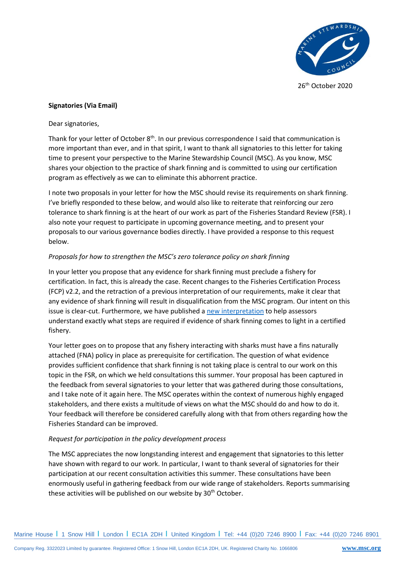

26 th October 2020

## **Signatories (Via Email)**

Dear signatories,

Thank for your letter of October  $8<sup>th</sup>$ . In our previous correspondence I said that communication is more important than ever, and in that spirit, I want to thank all signatories to this letter for taking time to present your perspective to the Marine Stewardship Council (MSC). As you know, MSC shares your objection to the practice of shark finning and is committed to using our certification program as effectively as we can to eliminate this abhorrent practice.

I note two proposals in your letter for how the MSC should revise its requirements on shark finning. I've briefly responded to these below, and would also like to reiterate that reinforcing our zero tolerance to shark finning is at the heart of our work as part of the Fisheries Standard Review (FSR). I also note your request to participate in upcoming governance meeting, and to present your proposals to our various governance bodies directly. I have provided a response to this request below.

## *Proposals for how to strengthen the MSC's zero tolerance policy on shark finning*

In your letter you propose that any evidence for shark finning must preclude a fishery for certification. In fact, this is already the case. Recent changes to the Fisheries Certification Process (FCP) v2.2, and the retraction of a previous interpretation of our requirements, make it clear that any evidence of shark finning will result in disqualification from the MSC program. Our intent on this issue is clear-cut. Furthermore, we have published a [new interpretation](https://mscportal.force.com/interpret/s/article/Clarification-of-shark-finning-conviction-scope-requirements-and-the-approach-to-take-when-there-is-evidence-of-shark-finning-in-the-UoA-UoC) to help assessors understand exactly what steps are required if evidence of shark finning comes to light in a certified fishery.

Your letter goes on to propose that any fishery interacting with sharks must have a fins naturally attached (FNA) policy in place as prerequisite for certification. The question of what evidence provides sufficient confidence that shark finning is not taking place is central to our work on this topic in the FSR, on which we held consultations this summer. Your proposal has been captured in the feedback from several signatories to your letter that was gathered during those consultations, and I take note of it again here. The MSC operates within the context of numerous highly engaged stakeholders, and there exists a multitude of views on what the MSC should do and how to do it. Your feedback will therefore be considered carefully along with that from others regarding how the Fisheries Standard can be improved.

## *Request for participation in the policy development process*

The MSC appreciates the now longstanding interest and engagement that signatories to this letter have shown with regard to our work. In particular, I want to thank several of signatories for their participation at our recent consultation activities this summer. These consultations have been enormously useful in gathering feedback from our wide range of stakeholders. Reports summarising these activities will be published on our website by 30<sup>th</sup> October.